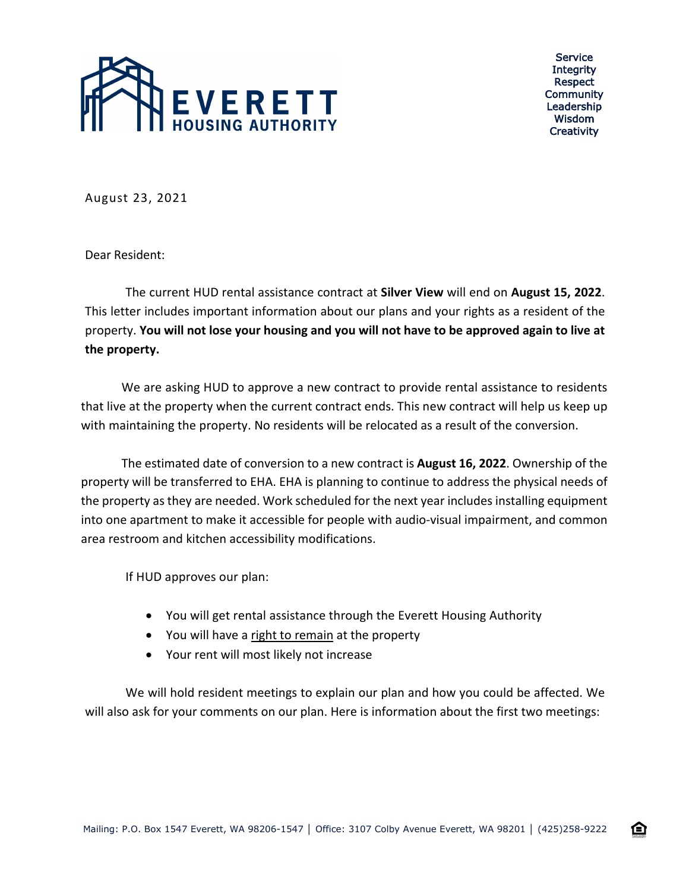

Service **Integrity** Respect Community Leadership Wisdom **Creativity** 

企

August 23, 2021

Dear Resident:

The current HUD rental assistance contract at **Silver View** will end on **August 15, 2022**. This letter includes important information about our plans and your rights as a resident of the property. **You will not lose your housing and you will not have to be approved again to live at the property.**

We are asking HUD to approve a new contract to provide rental assistance to residents that live at the property when the current contract ends. This new contract will help us keep up with maintaining the property. No residents will be relocated as a result of the conversion.

The estimated date of conversion to a new contract is **August 16, 2022**. Ownership of the property will be transferred to EHA. EHA is planning to continue to address the physical needs of the property as they are needed. Work scheduled for the next year includes installing equipment into one apartment to make it accessible for people with audio-visual impairment, and common area restroom and kitchen accessibility modifications.

If HUD approves our plan:

- You will get rental assistance through the Everett Housing Authority
- You will have a right to remain at the property
- Your rent will most likely not increase

We will hold resident meetings to explain our plan and how you could be affected. We will also ask for your comments on our plan. Here is information about the first two meetings: